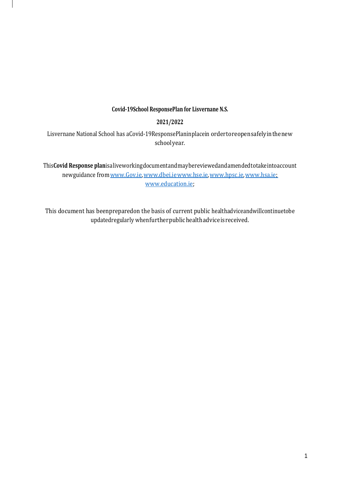### **Covid-19School ResponsePlan for Lisvernane N.S.**

## **2021/2022**

Lisvernane National School has aCovid-19ResponsePlaninplacein ordertoreopensafelyinthenew schoolyear.

This**Covid Response plan**isaliveworkingdocumentandmaybereviewedandamendedtotakeintoaccount newguidance from www.Gov.ie, [www.dbei.ie](http://www.dbei.ie/)[www.hse.ie,](http://www.hse.ie/) [www.hpsc.ie,](http://www.hpsc.ie/) [www.hsa.ie;](http://www.hsa.ie/) [www.education.ie;](http://www.education.ie/)

This document has beenpreparedon the basis of current public healthadviceandwillcontinuetobe updatedregularly whenfurtherpublichealthadviceisreceived.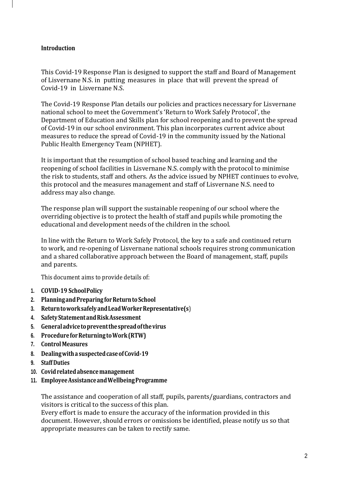## **Introduction**

This Covid-19 Response Plan is designed to support the staff and Board of Management of Lisvernane N.S. in putting measures in place that will prevent the spread of Covid-19 in Lisvernane N.S.

The Covid-19 Response Plan details our policies and practices necessary for Lisvernane national school to meet the Government's 'Return to Work Safely Protocol', the Department of Education and Skills plan for school reopening and to prevent the spread of Covid-19 in our school environment. This plan incorporates current advice about measures to reduce the spread of Covid-19 in the community issued by the National Public Health Emergency Team (NPHET).

It is important that the resumption of school based teaching and learning and the reopening of school facilities in Lisvernane N.S. comply with the protocol to minimise the risk to students, staff and others. As the advice issued by NPHET continues to evolve, this protocol and the measures management and staff of Lisvernane N.S. need to address may also change.

The response plan will support the sustainable reopening of our school where the overriding objective is to protect the health of staff and pupils while promoting the educational and development needs of the children in the school.

In line with the Return to Work Safely Protocol, the key to a safe and continued return to work, and re-opening of Lisvernane national schools requires strong communication and a shared collaborative approach between the Board of management, staff, pupils and parents.

This document aims to provide details of:

- **1. COVID-19 SchoolPolicy**
- **2. PlanningandPreparingforReturntoSchool**
- **3. ReturntoworksafelyandLeadWorkerRepresentative(s**)
- **4. SafetyStatementandRiskAssessment**
- **5. Generaladvicetopreventthespreadofthevirus**
- **6. ProcedureforReturning toWork(RTW)**
- **7. ControlMeasures**
- **8. Dealingwitha suspectedcaseofCovid-19**
- **9. Staff Duties**
- **10. Covidrelatedabsencemanagement**
- **11. EmployeeAssistanceandWellbeingProgramme**

The assistance and cooperation of all staff, pupils, parents/guardians, contractors and visitors is critical to the success of this plan.

Every effort is made to ensure the accuracy of the information provided in this document. However, should errors or omissions be identified, please notify us so that appropriate measures can be taken to rectify same.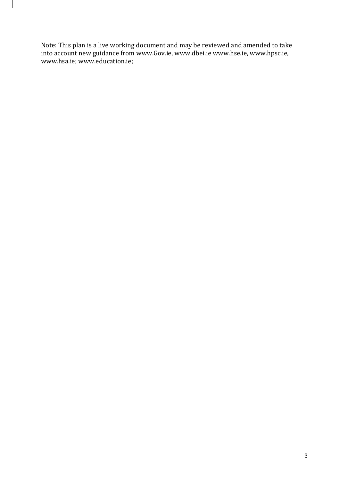Note: This plan is a live working document and may be reviewed and amended to take into account new guidance from [www.Gov.ie,](http://www.gov.ie/) [www.dbei.ie](http://www.dbei.ie/) [www.hse.ie,](http://www.hse.ie/) [www.hpsc.ie,](http://www.hpsc.ie/) [www.hsa.ie;](http://www.hsa.ie/) [www.education.ie;](http://www.education.ie/)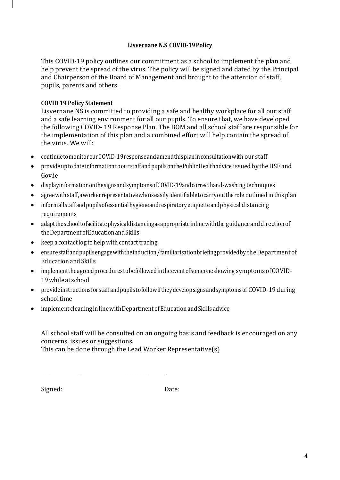# **Lisvernane N.S COVID-19Policy**

This COVID-19 policy outlines our commitment as a school to implement the plan and help prevent the spread of the virus. The policy will be signed and dated by the Principal and Chairperson of the Board of Management and brought to the attention of staff, pupils, parents and others.

# **COVID 19 Policy Statement**

Lisvernane NS is committed to providing a safe and healthy workplace for all our staff and a safe learning environment for all our pupils. To ensure that, we have developed the following COVID- 19 Response Plan. The BOM and all school staff are responsible for the implementation of this plan and a combined effort will help contain the spread of the virus. We will:

- continuetomonitorourCOVID-19responseandamendthisplaninconsultationwith our staff
- $\bullet$  provide up to date information to our staff and pupils on the Public Health advice issued by the HSE and Gov.ie
- displayinformationonthesignsandsymptomsofCOVID-19andcorrecthand-washing techniques
- agreewithstaff,aworkerrepresentativewhoiseasilyidentifiabletocarryouttherole outlined in thisplan
- informallstaffandpupilsofessentialhygieneandrespiratoryetiquetteandphysical distancing requirements
- adapttheschooltofacilitatephysicaldistancingasappropriateinlinewiththe guidanceanddirectionof theDepartmentofEducationandSkills
- $\bullet$  keep a contact log to help with contact tracing
- ensurestaffandpupilsengage with the induction / familiarisation briefing provided by the Department of EducationandSkills
- implementtheagreedprocedurestobefollowedintheeventofsomeoneshowing symptomsofCOVID-19while at school
- provide instructions for staff and pupils to follow if they develop signs and symptoms of COVID-19 during schooltime
- implement cleaninginlinewithDepartmentofEducationandSkills advice

All school staff will be consulted on an ongoing basis and feedback is encouraged on any concerns, issues or suggestions.

This can be done through the Lead Worker Representative(s)

\_\_\_\_\_\_\_\_\_\_\_\_\_\_\_\_ \_\_\_\_\_\_\_\_\_\_\_\_\_\_\_\_\_

Signed: Date: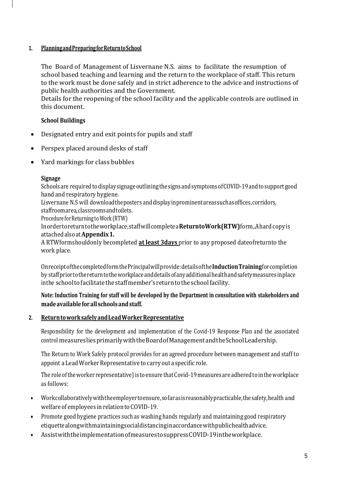# **1. PlanningandPreparingforReturntoSchool**

The Board of Management of Lisvernane N.S. aims to facilitate the resumption of school based teaching and learning and the return to the workplace of staff. This return to the work must be done safely and in strict adherence to the advice and instructions of public health authorities and the Government.

Details for the reopening of the school facility and the applicable controls are outlined in this document.

# **School Buildings**

- Designated entry and exit points for pupils and staff
- Perspex placed around desks of staff
- Yard markings for class bubbles

## **Signage**

Schools are required to display signage outlining the signs and symptoms of COVID-19 and to support good hand and respiratory hygiene.

Lisvernane N.S will downloadtheposters anddisplayinprominentareassuchasoffices,corridors, staffroomarea,classroomsandtoilets.

Procedure for Returning to Work (RTW)

Inordertoreturntotheworkplace,staffwillcompletea**ReturntoWork(RTW)**form,. Ahardcopyis attachedalsoat**Appendix1.**

A RTWformshould only becompleted **at least 3days** prior to any proposed dateofreturnto the work place.

OnreceiptofthecompletedformthePrincipalwillprovide:detailsofthe**InductionTraining**forcompletion by staffpriortothereturntotheworkplaceanddetailsofanyadditionalhealthandsafetymeasures inplace inthe school to facilitate the staff member's return to the school facility.

# **Note: Induction Training for staff will be developed by the Department in consultation with stakeholders and madeavailableforallschoolsandstaff.**

# **2. ReturntoworksafelyandLeadWorkerRepresentative**

Responsibility for the development and implementation of the Covid-19 Response Plan and the associated control measuresliesprimarilywiththeBoardofManagementandtheSchoolLeadership.

The Return to Work Safely protocol provides for an agreed procedure between management and staff to appoint a Lead Worker Representative to carry out a specific role.

The role of the worker representative) is to ensure that Covid-19 measures are adhered to in the workplace as follows:

- Workcollaborativelywiththeemployertoensure,sofarasisreasonablypracticable,thesafety,health and welfare of employees in relation to COVID-19.
- Promote good hygiene practices such as washing hands regularly and maintaining good respiratory etiquettealongwithmaintainingsocialdistancinginaccordancewithpublichealthadvice.
- AssistwiththeimplementationofmeasurestosuppressCOVID-19intheworkplace.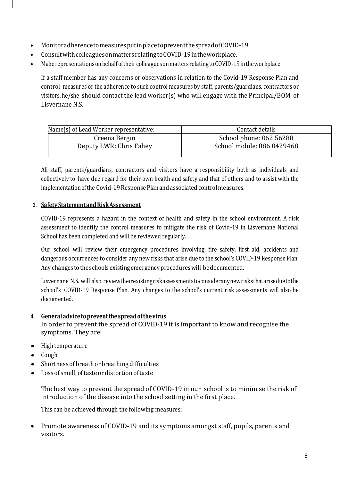- MonitoradherencetomeasuresputinplacetopreventthespreadofCOVID-19.
- ConsultwithcolleaguesonmattersrelatingtoCOVID-19intheworkplace.
- Make representations on behalf of their colleagues on matters relating to COVID-19 in the workplace.

If a staff member has any concerns or observations in relation to the Covid-19 Response Plan and control measures or the adherence to such control measures by staff, parents/guardians, contractors or visitors, he/she should contact the lead worker(s) who will engage with the Principal/BOM of Lisvernane N.S.

| Name(s) of Lead Worker representative: | Contact details            |
|----------------------------------------|----------------------------|
| Creena Bergin                          | School phone: 062 56288    |
| Deputy LWR: Chris Fahey                | School mobile: 086 0429468 |

All staff, parents/guardians, contractors and visitors have a responsibility both as individuals and collectively to have due regard for their own health and safety and that of others and to assist with the implementation of the Covid-19 Response Plan and associated control measures.

# **3. SafetyStatementandRiskAssessment**

COVID-19 represents a hazard in the context of health and safety in the school environment. A risk assessment to identify the control measures to mitigate the risk of Covid-19 in Lisvernane National School has been completed and will be reviewed regularly.

Our school will review their emergency procedures involving, fire safety, first aid, accidents and dangerous occurrences to consider any new risks that arise due to the school's COVID-19 Response Plan. Any changes to the schools existing emergency procedures will be documented.

Lisvernane N.S. will also reviewtheirexistingriskassessmentstoconsideranynewrisksthatariseduetothe school's COVID-19 Response Plan. Any changes to the school's current risk assessments will also be documented.

# **4. Generaladvicetopreventthespreadofthevirus**

In order to prevent the spread of COVID-19 it is important to know and recognise the symptoms. They are:

- High temperature
- Cough
- Shortness of breath or breathing difficulties
- Lossof smell,oftasteordistortionoftaste

The best way to prevent the spread of COVID-19 in our school is to minimise the risk of introduction of the disease into the school setting in the first place.

This can be achieved through the following measures:

• Promote awareness of COVID-19 and its symptoms amongst staff, pupils, parents and visitors.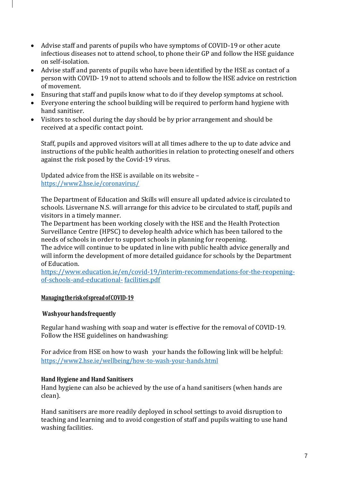- Advise staff and parents of pupils who have symptoms of COVID-19 or other acute infectious diseases not to attend school, to phone their GP and follow the HSE guidance on self-isolation.
- Advise staff and parents of pupils who have been identified by the HSE as contact of a person with COVID- 19 not to attend schools and to follow the HSE advice on restriction of movement.
- Ensuring that staff and pupils know what to do if they develop symptoms at school.
- Everyone entering the school building will be required to perform hand hygiene with hand sanitiser.
- Visitors to school during the day should be by prior arrangement and should be received at a specific contact point.

Staff, pupils and approved visitors will at all times adhere to the up to date advice and instructions of the public health authorities in relation to protecting oneself and others against the risk posed by the Covid-19 virus.

Updated advice from the HSE is available on its website – <https://www2.hse.ie/coronavirus/>

The Department of Education and Skills will ensure all updated advice is circulated to schools. Lisvernane N.S. will arrange for this advice to be circulated to staff, pupils and visitors in a timely manner.

The Department has been working closely with the HSE and the Health Protection Surveillance Centre (HPSC) to develop health advice which has been tailored to the needs of schools in order to support schools in planning for reopening.

The advice will continue to be updated in line with public health advice generally and will inform the development of more detailed guidance for schools by the Department of Education.

[https://www.education.ie/en/covid-19/interim-recommendations-for-the-reopening](https://www.education.ie/en/covid-19/interim-recommendations-for-the-reopening-of-schools-and-educational-facilities.pdf)[of-schools-and-educational-](https://www.education.ie/en/covid-19/interim-recommendations-for-the-reopening-of-schools-and-educational-facilities.pdf) [facilities.pdf](https://www.education.ie/en/covid-19/interim-recommendations-for-the-reopening-of-schools-and-educational-facilities.pdf)

## **Managing theriskof spreadofCOVID-19**

## **Washyour handsfrequently**

Regular hand washing with soap and water is effective for the removal of COVID-19. Follow the HSE guidelines on handwashing:

For advice from HSE on how to wash your hands the following link will be helpful: <https://www2.hse.ie/wellbeing/how-to-wash-your-hands.html>

## **Hand Hygiene and Hand Sanitisers**

Hand hygiene can also be achieved by the use of a hand sanitisers (when hands are clean).

Hand sanitisers are more readily deployed in school settings to avoid disruption to teaching and learning and to avoid congestion of staff and pupils waiting to use hand washing facilities.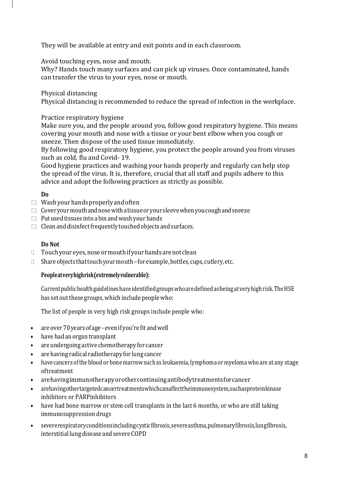They will be available at entry and exit points and in each classroom.

Avoid touching eyes, nose and mouth.

Why? Hands touch many surfaces and can pick up viruses. Once contaminated, hands can transfer the virus to your eyes, nose or mouth.

Physical distancing

Physical distancing is recommended to reduce the spread of infection in the workplace.

# Practice respiratory hygiene

Make sure you, and the people around you, follow good respiratory hygiene. This means covering your mouth and nose with a tissue or your bent elbow when you cough or sneeze. Then dispose of the used tissue immediately.

By following good respiratory hygiene, you protect the people around you from viruses such as cold, flu and Covid- 19.

Good hygiene practices and washing your hands properly and regularly can help stop the spread of the virus. It is, therefore, crucial that all staff and pupils adhere to this advice and adopt the following practices as strictly as possible.

# **Do**

- $\Box$  Wash your hands properly and often
- $\Box$  Cover your mouth and nose with a tissue or your sleeve when you cough and sneeze
- $\Box$  Put used tissues into a bin and wash your hands
- $\Box$  Clean and disinfect frequently touched objects and surfaces.

# **Do Not**

- $\Box$  Touch your eyes, nose or mouth if your hands are not clean
- $\Box$  Share objects that touch your mouth for example, bottles, cups, cutlery, etc.

# **Peopleatveryhighrisk(extremelyvulnerable):**

Currentpublichealthguidelineshaveidentifiedgroupswhoaredefinedasbeingatveryhighrisk.TheHSE has set out these groups, which include people who:

The list of people in very high risk groups include people who:

- are over 70 years of age even if you're fit andwell
- have had an organ transplant
- are undergoing active chemotherapy for [cancer](https://www2.hse.ie/conditions/coronavirus/cancer-patients.html)
- are having radical radiotherapy for lung cancer
- have cancers ofthe blood or bone marrow such as leukaemia, lymphoma ormyeloma who are at any stage oftreatment
- arehavingimmunotherapyorothercontinuingantibodytreatmentsforcancer
- arehavingothertargetedcancertreatmentswhichcanaffecttheimmunesystem,suchasproteinkinase inhibitors or PARPinhibitors
- have had bone marrow or stem cell transplants in the last 6 months, or who are still taking immunosuppression drugs
- severerespiratoryconditionsincludingcysticfibrosis[,severeasthma,](https://www2.hse.ie/conditions/coronavirus/asthma.html)pulmonaryfibrosis,lungfibrosis, interstitial lung disease and [severe](https://www2.hse.ie/conditions/coronavirus/copd.html) COPD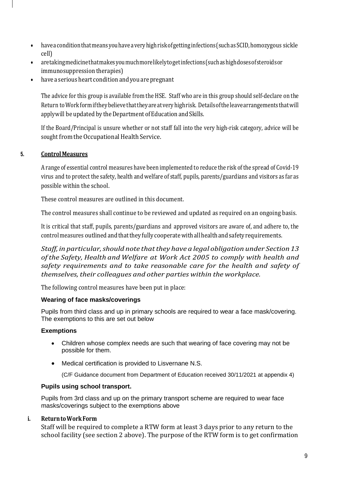- haveaconditionthatmeansyouhaveaveryhighriskofgettinginfections (suchasSCID,homozygous sickle cell)
- ar[etakingmedicinethatmakesyoumuchmorelikelytogetinfections\(](https://www2.hse.ie/conditions/coronavirus/weak-immune-system.html)suchashighdosesofsteroidsor immunosuppression therapies)
- have a serious heart condition and you are pregnant

The advice for this group is available from the HSE. Staff who are in this group should self-declare on the Return toWorkformiftheybelieve thattheyareatveryhighrisk. Detailsoftheleavearrangementsthatwill apply will be updated by the Department of Education and Skills.

If the Board/Principal is unsure whether or not staff fall into the very high-risk category, advice will be sought from the Occupational Health Service.

## **5. ControlMeasures**

A range of essential control measures have been implemented to reduce the risk ofthe spread of Covid-19 virus and to protect the safety, health and welfare of staff, pupils, parents/guardians and visitors as far as possible within the school.

These control measures are outlined in this document.

The control measures shall continue to be reviewed and updated as required on an ongoing basis.

It is critical that staff, pupils, parents/guardians and approved visitors are aware of, and adhere to, the control measures outlined and that they fully cooperate with all health and safety requirements.

*Staff, in particular,should note thatthey have a legal obligation under Section 13 of the Safety, Health and Welfare at Work Act 2005 to comply with health and safety requirements and to take reasonable care for the health and safety of themselves, their colleagues and other parties within the workplace.*

The following control measures have been put in place:

## **Wearing of face masks/coverings**

Pupils from third class and up in primary schools are required to wear a face mask/covering. The exemptions to this are set out below

## **Exemptions**

- Children whose complex needs are such that wearing of face covering may not be possible for them.
- Medical certification is provided to Lisvernane N.S.

(C/F Guidance document from Department of Education received 30/11/2021 at appendix 4)

## **Pupils using school transport.**

Pupils from 3rd class and up on the primary transport scheme are required to wear face masks/coverings subject to the exemptions above

## **i. ReturntoWorkForm**

Staff will be required to complete a RTW form at least 3 days prior to any return to the school facility (see section 2 above). The purpose of the RTW form is to get confirmation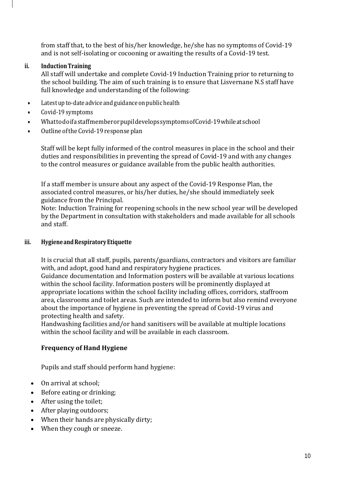from staff that, to the best of his/her knowledge, he/she has no symptoms of Covid-19 and is not self-isolating or cocooning or awaiting the results of a Covid-19 test.

# **ii. InductionTraining**

All staff will undertake and complete Covid-19 Induction Training prior to returning to the school building. The aim of such training is to ensure that Lisvernane N.S staff have full knowledge and understanding of the following:

- Latest up to-date advice and guidance on public health
- Covid-19 symptoms
- WhattodoifastaffmemberorpupildevelopssymptomsofCovid-19whileatschool
- Outline oftheCovid-19 response plan

Staff will be kept fully informed of the control measures in place in the school and their duties and responsibilities in preventing the spread of Covid-19 and with any changes to the control measures or guidance available from the public health authorities.

If a staff member is unsure about any aspect of the Covid-19 Response Plan, the associated control measures, or his/her duties, he/she should immediately seek guidance from the Principal.

Note: Induction Training for reopening schools in the new school year will be developed by the Department in consultation with stakeholders and made available for all schools and staff.

# **iii. HygieneandRespiratoryEtiquette**

It is crucial that all staff, pupils, parents/guardians, contractors and visitors are familiar with, and adopt, good hand and respiratory hygiene practices.

Guidance documentation and Information posters will be available at various locations within the school facility. Information posters will be prominently displayed at appropriate locations within the school facility including offices, corridors, staffroom area, classrooms and toilet areas. Such are intended to inform but also remind everyone about the importance of hygiene in preventing the spread of Covid-19 virus and protecting health and safety.

Handwashing facilities and/or hand sanitisers will be available at multiple locations within the school facility and will be available in each classroom.

# **Frequency of Hand Hygiene**

Pupils and staff should perform hand hygiene:

- On arrival at school;
- Before eating or drinking;
- After using the toilet;
- After playing outdoors;
- When their hands are physically dirty;
- When they cough or sneeze.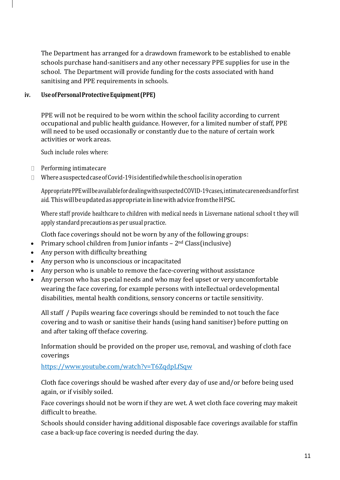The Department has arranged for a drawdown framework to be established to enable schools purchase hand-sanitisers and any other necessary PPE supplies for use in the school. The Department will provide funding for the costs associated with hand sanitising and PPE requirements in schools.

# **iv. UseofPersonalProtectiveEquipment (PPE)**

PPE will not be required to be worn within the school facility according to current occupational and public health guidance. However, for a limited number of staff, PPE will need to be used occasionally or constantly due to the nature of certain work activities or work areas.

Such include roles where:

- $\Box$  Performing intimate care
- $\Box$  Where a suspected case of Covid-19 is identified while the school is in operation

AppropriatePPEwillbeavailablefordealingwithsuspectedCOVID-19cases,intimatecareneedsandforfirst aid. This will be updated as appropriate in line with advice from the HPSC.

Where staff provide healthcare to children with medical needs in Lisvernane national school t they will apply standard precautions as per usual practice.

Cloth face coverings should not be worn by any of the following groups:

- Primary school children from Junior infants  $-2<sup>nd</sup>$  Class(inclusive)
- Any person with difficulty breathing
- Any person who is unconscious or incapacitated
- Any person who is unable to remove the face-covering without assistance
- Any person who has special needs and who may feel upset or very uncomfortable wearing the face covering, for example persons with intellectual ordevelopmental disabilities, mental health conditions, sensory concerns or tactile sensitivity.

All staff / Pupils wearing face coverings should be reminded to not touch the face covering and to wash or sanitise their hands (using hand sanitiser) before putting on and after taking off theface covering.

Information should be provided on the proper use, removal, and washing of cloth face coverings

<https://www.youtube.com/watch?v=T6ZqdpLfSqw>

Cloth face coverings should be washed after every day of use and/or before being used again, or if visibly soiled.

Face coverings should not be worn if they are wet. A wet cloth face covering may makeit difficult to breathe.

Schools should consider having additional disposable face coverings available for staffin case a back-up face covering is needed during the day.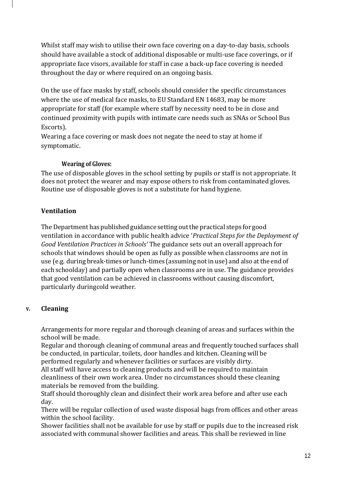Whilst staff may wish to utilise their own face covering on a day-to-day basis, schools should have available a stock of additional disposable or multi-use face coverings, or if appropriate face visors, available for staff in case a back-up face covering is needed throughout the day or where required on an ongoing basis.

On the use of face masks by staff, schools should consider the specific circumstances where the use of medical face masks, to EU Standard EN 14683, may be more appropriate for staff (for example where staff by necessity need to be in close and continued proximity with pupils with intimate care needs such as SNAs or School Bus Escorts).

Wearing a face covering or mask does not negate the need to stay at home if symptomatic.

# **Wearing of Gloves:**

The use of disposable gloves in the school setting by pupils or staff is not appropriate. It does not protect the wearer and may expose others to risk from contaminated gloves. Routine use of disposable gloves is not a substitute for hand hygiene.

# **Ventilation**

The Department has published guidance setting out the practical steps for good ventilation in accordance with public health advice '*Practical Steps for the Deployment of Good Ventilation Practices in Schools'* The guidance sets out an overall approach for schools that windows should be open as fully as possible when classrooms are not in use (e.g. during break-times or lunch-times (assuming notin use) and also atthe end of each schoolday) and partially open when classrooms are in use. The guidance provides that good ventilation can be achieved in classrooms without causing discomfort, particularly duringcold weather.

# **v. Cleaning**

Arrangements for more regular and thorough cleaning of areas and surfaces within the school will be made.

Regular and thorough cleaning of communal areas and frequently touched surfaces shall be conducted, in particular, toilets, door handles and kitchen. Cleaning will be performed regularly and whenever facilities or surfaces are visibly dirty.

All staff will have access to cleaning products and will be required to maintain cleanliness of their own work area. Under no circumstances should these cleaning materials be removed from the building.

Staff should thoroughly clean and disinfect their work area before and after use each day.

There will be regular collection of used waste disposal bags from offices and other areas within the school facility.

Shower facilities shall not be available for use by staff or pupils due to the increased risk associated with communal shower facilities and areas. This shall be reviewed in line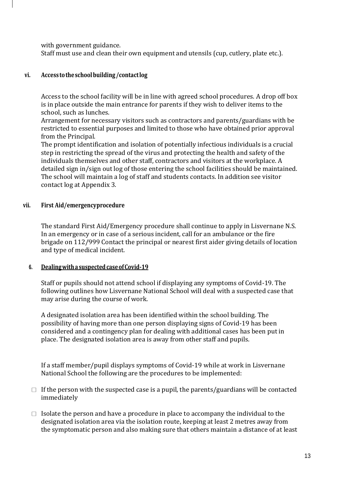with government guidance.

Staff must use and clean their own equipment and utensils (cup, cutlery, plate etc.).

# **vi. Access totheschoolbuilding /contactlog**

Access to the school facility will be in line with agreed school procedures. A drop off box is in place outside the main entrance for parents if they wish to deliver items to the school, such as lunches.

Arrangement for necessary visitors such as contractors and parents/guardians with be restricted to essential purposes and limited to those who have obtained prior approval from the Principal.

The prompt identification and isolation of potentially infectious individuals is a crucial step in restricting the spread of the virus and protecting the health and safety of the individuals themselves and other staff, contractors and visitors at the workplace. A detailed sign in/sign out log of those entering the school facilities should be maintained. The school will maintain a log of staff and students contacts. In addition see visitor contact log at Appendix 3.

## **vii. First Aid/emergencyprocedure**

The standard First Aid/Emergency procedure shall continue to apply in Lisvernane N.S. In an emergency or in case of a serious incident, call for an ambulance or the fire brigade on 112/999 Contact the principal or nearest first aider giving details of location and type of medical incident.

## **6. Dealingwitha suspectedcaseofCovid-19**

Staff or pupils should not attend school if displaying any symptoms of Covid-19. The following outlines how Lisvernane National School will deal with a suspected case that may arise during the course of work.

A designated isolation area has been identified within the school building. The possibility of having more than one person displaying signs of Covid-19 has been considered and a contingency plan for dealing with additional cases has been put in place. The designated isolation area is away from other staff and pupils.

If a staff member/pupil displays symptoms of Covid-19 while at work in Lisvernane National School the following are the procedures to be implemented:

- $\Box$  If the person with the suspected case is a pupil, the parents/guardians will be contacted immediately
- $\Box$  Isolate the person and have a procedure in place to accompany the individual to the designated isolation area via the isolation route, keeping at least 2 metres away from the symptomatic person and also making sure that others maintain a distance of at least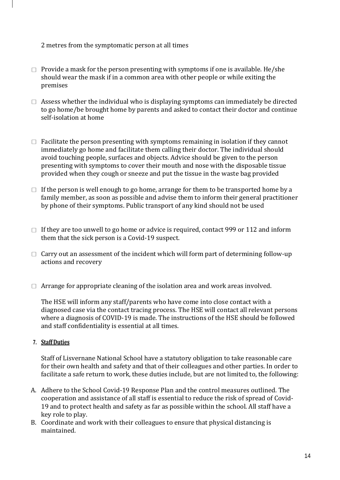2 metres from the symptomatic person at all times

- $\Box$  Provide a mask for the person presenting with symptoms if one is available. He/she should wear the mask if in a common area with other people or while exiting the premises
- $\Box$  Assess whether the individual who is displaying symptoms can immediately be directed to go home/be brought home by parents and asked to contact their doctor and continue self-isolation at home
- $\Box$  Facilitate the person presenting with symptoms remaining in isolation if they cannot immediately go home and facilitate them calling their doctor. The individual should avoid touching people, surfaces and objects. Advice should be given to the person presenting with symptoms to cover their mouth and nose with the disposable tissue provided when they cough or sneeze and put the tissue in the waste bag provided
- $\Box$  If the person is well enough to go home, arrange for them to be transported home by a family member, as soon as possible and advise them to inform their general practitioner by phone of their symptoms. Public transport of any kind should not be used
- $\Box$  If they are too unwell to go home or advice is required, contact 999 or 112 and inform them that the sick person is a Covid-19 suspect.
- $\Box$  Carry out an assessment of the incident which will form part of determining follow-up actions and recovery
- $\Box$  Arrange for appropriate cleaning of the isolation area and work areas involved.

The HSE will inform any staff/parents who have come into close contact with a diagnosed case via the contact tracing process. The HSE will contact all relevant persons where a diagnosis of COVID-19 is made. The instructions of the HSE should be followed and staff confidentiality is essential at all times.

## **7. Staff Duties**

Staff of Lisvernane National School have a statutory obligation to take reasonable care for their own health and safety and that of their colleagues and other parties. In order to facilitate a safe return to work, these duties include, but are not limited to, the following:

- A. Adhere to the School Covid-19 Response Plan and the control measures outlined. The cooperation and assistance of all staff is essential to reduce the risk of spread of Covid-19 and to protect health and safety as far as possible within the school. All staff have a key role to play.
- B. Coordinate and work with their colleagues to ensure that physical distancing is maintained.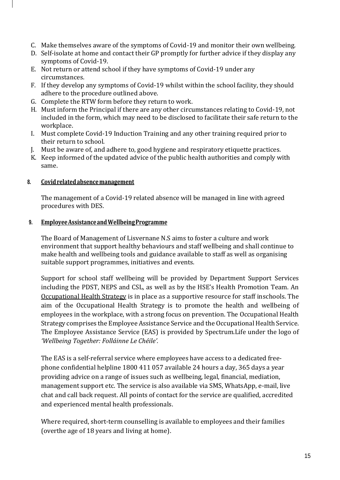- C. Make themselves aware of the symptoms of Covid-19 and monitor their own wellbeing.
- D. Self-isolate at home and contact their GP promptly for further advice if they display any symptoms of Covid-19.
- E. Not return or attend school if they have symptoms of Covid-19 under any circumstances.
- F. If they develop any symptoms of Covid-19 whilst within the school facility, they should adhere to the procedure outlined above.
- G. Complete the RTW form before they return to work.
- H. Must inform the Principal if there are any other circumstances relating to Covid-19, not included in the form, which may need to be disclosed to facilitate their safe return to the workplace.
- I. Must complete Covid-19 Induction Training and any other training required prior to their return to school.
- J. Must be aware of, and adhere to, good hygiene and respiratory etiquette practices.
- K. Keep informed of the updated advice of the public health authorities and comply with same.

## **8. Covidrelatedabsencemanagement**

The management of a Covid-19 related absence will be managed in line with agreed procedures with DES.

## **9. EmployeeAssistanceandWellbeingProgramme**

The Board of Management of Lisvernane N.S aims to foster a culture and work environment that support healthy behaviours and staff wellbeing and shall continue to make health and wellbeing tools and guidance available to staff as well as organising suitable support programmes, initiatives and events.

Support for school staff wellbeing will be provided by Department Support Services including the PDST, NEPS and CSL, as well as by the HSE's Health Promotion Team. An [Occupational Health Strategy](https://www.education.ie/en/Education-Staff/Information/Occupational-Health-Strategy/) is in place as a supportive resource for staff inschools. The aim of the Occupational Health Strategy is to promote the health and wellbeing of employees in the workplace, with a strong focus on prevention. The Occupational Health Strategy comprises the Employee Assistance Service and the Occupational Health Service. The Employee Assistance Service (EAS) is provided by Spectrum.Life under the logo of *'Wellbeing Together: Folláinne Le Chéile'.*

The EAS is a self-referral service where employees have access to a dedicated freephone confidential helpline 1800 411 057 available 24 hours a day, 365 days a year providing advice on a range of issues such as wellbeing, legal, financial, mediation, management support etc. The service is also available via SMS, WhatsApp, e-mail, live chat and call back request. All points of contact for the service are qualified, accredited and experienced mental health professionals.

Where required, short-term counselling is available to employees and their families (overthe age of 18 years and living at home).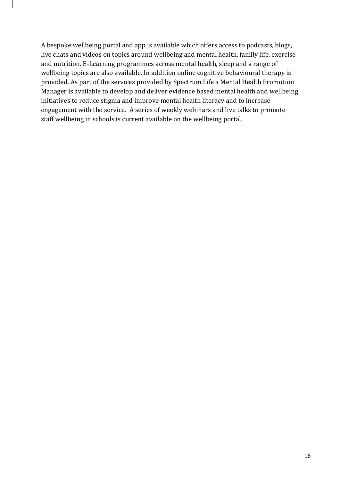A bespoke wellbeing portal and app is available which offers access to podcasts, blogs, live chats and videos on topics around wellbeing and mental health, family life, exercise and nutrition. E-Learning programmes across mental health, sleep and a range of wellbeing topics are also available. In addition online cognitive behavioural therapy is provided. As part of the services provided by Spectrum.Life a Mental Health Promotion Manager is available to develop and deliver evidence based mental health and wellbeing initiatives to reduce stigma and improve mental health literacy and to increase engagement with the service. A series of weekly webinars and live talks to promote staff wellbeing in schools is current available on the wellbeing portal.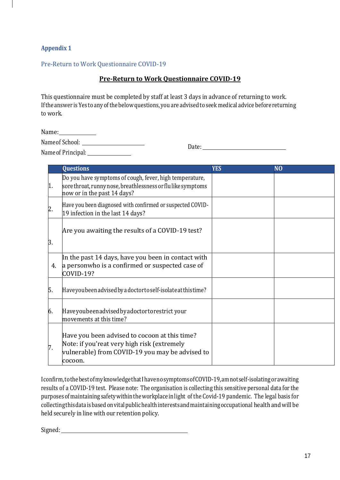# **Appendix 1**

## Pre-Return to Work Questionnaire COVID-19

## **Pre-Return to Work Questionnaire COVID-19**

This questionnaire must be completed by staff at least 3 days in advance of returning to work. Ifthe answer isYes to any ofthe below questions, you are advised to seek medical advice before returning to work.

Name:

Nameof School:

Nameof Principal:

Date: Web and the contract of the contract of the contract of the contract of the contract of the contract of the contract of the contract of the contract of the contract of the contract of the contract of the contract of

|     | <b>Questions</b>                                                                                                                                            | <b>YES</b> | N <sub>O</sub> |
|-----|-------------------------------------------------------------------------------------------------------------------------------------------------------------|------------|----------------|
| 1.  | Do you have symptoms of cough, fever, high temperature,<br>sore throat, runny nose, breathlessness or flulike symptoms<br>now or in the past 14 days?       |            |                |
|     | Have you been diagnosed with confirmed or suspected COVID-<br>19 infection in the last 14 days?                                                             |            |                |
| 3.  | Are you awaiting the results of a COVID-19 test?                                                                                                            |            |                |
| 4.  | In the past 14 days, have you been in contact with<br>a personwho is a confirmed or suspected case of<br>COVID-19?                                          |            |                |
| 15. | Have you been advised by a doctor to self-isolate at this time?                                                                                             |            |                |
| 6.  | Have you been advised by a doctor to restrict your<br>movements at this time?                                                                               |            |                |
|     | Have you been advised to cocoon at this time?<br>Note: if you'reat very high risk (extremely<br>vulnerable) from COVID-19 you may be advised to<br>lcocoon. |            |                |

Iconfirm,tothebestofmyknowledgethatIhavenosymptomsofCOVID-19,amnotself-isolatingorawaiting results of a COVID-19 test. Please note: The organisation is collecting this sensitive personal data for the purposes ofmaintaining safetywithintheworkplace inlight of the Covid-19 pandemic. The legal basis for collecting this data is based on vital public health interests and maintaining occupational health and will be held securely in line with our retention policy.

Signed: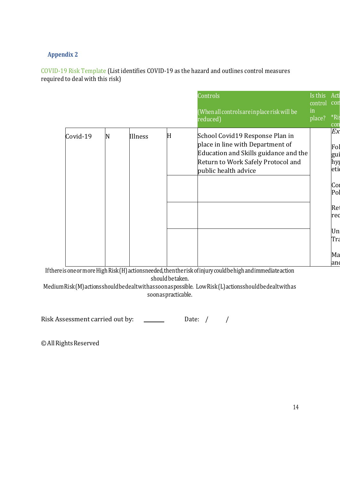# **Appendix 2**

COVID-19 Risk Template (List identifies COVID-19 as the hazard and outlines control measures required to deal with this risk)

|          |   |         |   | Controls<br>(When all controls are in place risk will be<br>reduced)                                                                                                       | Is this<br>control<br>in<br>place? | Acti<br>con<br>*Ri:<br>con                                                                     |
|----------|---|---------|---|----------------------------------------------------------------------------------------------------------------------------------------------------------------------------|------------------------------------|------------------------------------------------------------------------------------------------|
| Covid-19 | N | Illness | H | School Covid19 Response Plan in<br>place in line with Department of<br>Education and Skills guidance and the<br>Return to Work Safely Protocol and<br>public health advice |                                    | Ex<br>Fol<br>gui<br>hy <sub>{</sub><br>eti<br>Col<br>Pol<br>Re<br>red<br>Un<br>Tra<br>Ma<br>an |

IfthereisoneormoreHighRisk(H)actionsneeded,thentheriskofinjurycouldbehighandimmediateaction shouldbetaken.

MediumRisk(M)actionsshouldbedealtwithassoonaspossible. LowRisk(L)actionsshouldbedealtwithas soonaspracticable.

Risk Assessment carried out by:  $\qquad \qquad$ Date: / /

© All Rights Reserved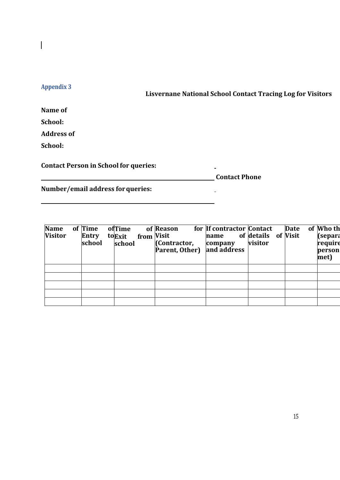# $\overline{\phantom{a}}$

# **Appendix 3**

**Lisvernane National School Contact Tracing Log for Visitors**

**Name of** 

**School:** 

**Address of** 

**School:**

**Contact Person in School for queries:**

**Contact Phone** 

 $\equiv$ 

 $\overline{\phantom{a}}$ 

**Number/email address forqueries:**

| Name<br><b>Visitor</b> | of Time<br>Entry<br>school | ofTime<br>toExit<br>school | from Visit | of Reason<br>(Contractor, | for If contractor Contact<br>name<br>company<br><b>Parent, Other)</b> and address | of details of Visit<br>visitor | <b>Date</b> | of Who th<br>$\left  \text{(separa} \right $<br>require<br>person<br>met) |
|------------------------|----------------------------|----------------------------|------------|---------------------------|-----------------------------------------------------------------------------------|--------------------------------|-------------|---------------------------------------------------------------------------|
|                        |                            |                            |            |                           |                                                                                   |                                |             |                                                                           |
|                        |                            |                            |            |                           |                                                                                   |                                |             |                                                                           |
|                        |                            |                            |            |                           |                                                                                   |                                |             |                                                                           |
|                        |                            |                            |            |                           |                                                                                   |                                |             |                                                                           |
|                        |                            |                            |            |                           |                                                                                   |                                |             |                                                                           |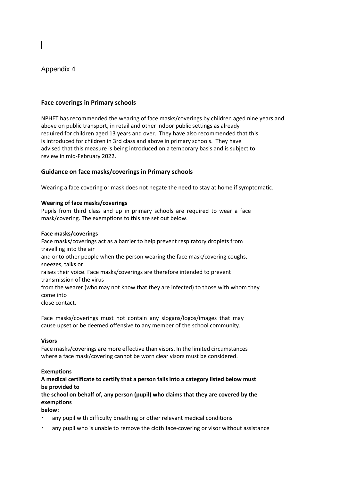### Appendix 4

### **Face coverings in Primary schools**

NPHET has recommended the wearing of face masks/coverings by children aged nine years and above on public transport, in retail and other indoor public settings as already required for children aged 13 years and over. They have also recommended that this is introduced for children in 3rd class and above in primary schools. They have advised that this measure is being introduced on a temporary basis and is subject to review in mid-February 2022.

### **Guidance on face masks/coverings in Primary schools**

Wearing a face covering or mask does not negate the need to stay at home if symptomatic.

#### **Wearing of face masks/coverings**

Pupils from third class and up in primary schools are required to wear a face mask/covering. The exemptions to this are set out below.

#### **Face masks/coverings**

Face masks/coverings act as a barrier to help prevent respiratory droplets from travelling into the air and onto other people when the person wearing the face mask/covering coughs, sneezes, talks or raises their voice. Face masks/coverings are therefore intended to prevent transmission of the virus from the wearer (who may not know that they are infected) to those with whom they come into close contact.

Face masks/coverings must not contain any slogans/logos/images that may cause upset or be deemed offensive to any member of the school community.

#### **Visors**

Face masks/coverings are more effective than visors. In the limited circumstances where a face mask/covering cannot be worn clear visors must be considered.

#### **Exemptions**

### **A medical certificate to certify that a person falls into a category listed below must be provided to**

**the school on behalf of, any person (pupil) who claims that they are covered by the exemptions** 

### **below:**

- any pupil with difficulty breathing or other relevant medical conditions
- any pupil who is unable to remove the cloth face-covering or visor without assistance